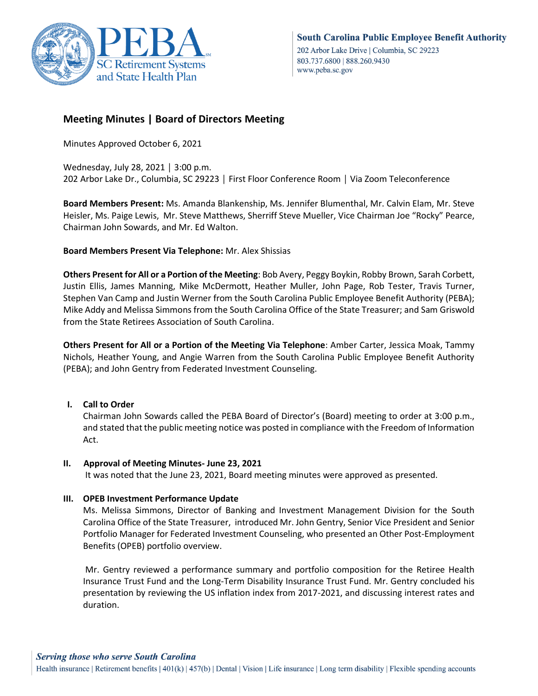

# **Meeting Minutes | Board of Directors Meeting**

Minutes Approved October 6, 2021

Wednesday, July 28, 2021 │ 3:00 p.m. 202 Arbor Lake Dr., Columbia, SC 29223 │ First Floor Conference Room │ Via Zoom Teleconference

**Board Members Present:** Ms. Amanda Blankenship, Ms. Jennifer Blumenthal, Mr. Calvin Elam, Mr. Steve Heisler, Ms. Paige Lewis, Mr. Steve Matthews, Sherriff Steve Mueller, Vice Chairman Joe "Rocky" Pearce, Chairman John Sowards, and Mr. Ed Walton.

# **Board Members Present Via Telephone:** Mr. Alex Shissias

**Others Present for All or a Portion of the Meeting**: Bob Avery, Peggy Boykin, Robby Brown, Sarah Corbett, Justin Ellis, James Manning, Mike McDermott, Heather Muller, John Page, Rob Tester, Travis Turner, Stephen Van Camp and Justin Werner from the South Carolina Public Employee Benefit Authority (PEBA); Mike Addy and Melissa Simmons from the South Carolina Office of the State Treasurer; and Sam Griswold from the State Retirees Association of South Carolina.

**Others Present for All or a Portion of the Meeting Via Telephone**: Amber Carter, Jessica Moak, Tammy Nichols, Heather Young, and Angie Warren from the South Carolina Public Employee Benefit Authority (PEBA); and John Gentry from Federated Investment Counseling.

# **I. Call to Order**

Chairman John Sowards called the PEBA Board of Director's (Board) meeting to order at 3:00 p.m., and stated that the public meeting notice was posted in compliance with the Freedom of Information Act.

# **II. Approval of Meeting Minutes- June 23, 2021**

It was noted that the June 23, 2021, Board meeting minutes were approved as presented.

# **III. OPEB Investment Performance Update**

Ms. Melissa Simmons, Director of Banking and Investment Management Division for the South Carolina Office of the State Treasurer, introduced Mr. John Gentry, Senior Vice President and Senior Portfolio Manager for Federated Investment Counseling, who presented an Other Post-Employment Benefits (OPEB) portfolio overview.

Mr. Gentry reviewed a performance summary and portfolio composition for the Retiree Health Insurance Trust Fund and the Long-Term Disability Insurance Trust Fund. Mr. Gentry concluded his presentation by reviewing the US inflation index from 2017-2021, and discussing interest rates and duration.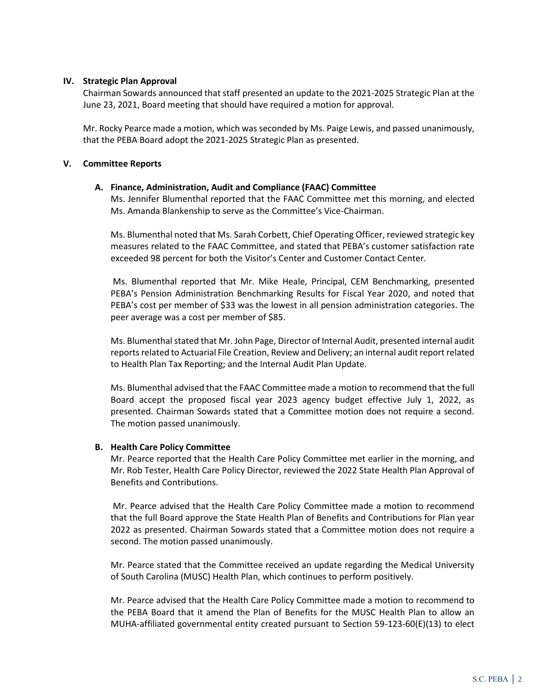## **IV. Strategic Plan Approval**

Chairman Sowards announced that staff presented an update to the 2021-2025 Strategic Plan at the June 23, 2021, Board meeting that should have required a motion for approval.

Mr. Rocky Pearce made a motion, which was seconded by Ms. Paige Lewis, and passed unanimously, that the PEBA Board adopt the 2021-2025 Strategic Plan as presented.

## **V. Committee Reports**

## **A. Finance, Administration, Audit and Compliance (FAAC) Committee**

Ms. Jennifer Blumenthal reported that the FAAC Committee met this morning, and elected Ms. Amanda Blankenship to serve as the Committee's Vice-Chairman.

Ms. Blumenthal noted that Ms. Sarah Corbett, Chief Operating Officer, reviewed strategic key measures related to the FAAC Committee, and stated that PEBA's customer satisfaction rate exceeded 98 percent for both the Visitor's Center and Customer Contact Center.

Ms. Blumenthal reported that Mr. Mike Heale, Principal, CEM Benchmarking, presented PEBA's Pension Administration Benchmarking Results for Fiscal Year 2020, and noted that PEBA's cost per member of \$33 was the lowest in all pension administration categories. The peer average was a cost per member of \$85.

Ms. Blumenthal stated that Mr. John Page, Director of Internal Audit, presented internal audit reports related to Actuarial File Creation, Review and Delivery; an internal audit report related to Health Plan Tax Reporting; and the Internal Audit Plan Update.

Ms. Blumenthal advised that the FAAC Committee made a motion to recommend that the full Board accept the proposed fiscal year 2023 agency budget effective July 1, 2022, as presented. Chairman Sowards stated that a Committee motion does not require a second. The motion passed unanimously.

#### **B. Health Care Policy Committee**

Mr. Pearce reported that the Health Care Policy Committee met earlier in the morning, and Mr. Rob Tester, Health Care Policy Director, reviewed the 2022 State Health Plan Approval of Benefits and Contributions.

Mr. Pearce advised that the Health Care Policy Committee made a motion to recommend that the full Board approve the State Health Plan of Benefits and Contributions for Plan year 2022 as presented. Chairman Sowards stated that a Committee motion does not require a second. The motion passed unanimously.

Mr. Pearce stated that the Committee received an update regarding the Medical University of South Carolina (MUSC) Health Plan, which continues to perform positively.

Mr. Pearce advised that the Health Care Policy Committee made a motion to recommend to the PEBA Board that it amend the Plan of Benefits for the MUSC Health Plan to allow an MUHA-affiliated governmental entity created pursuant to Section 59-123-60(E)(13) to elect